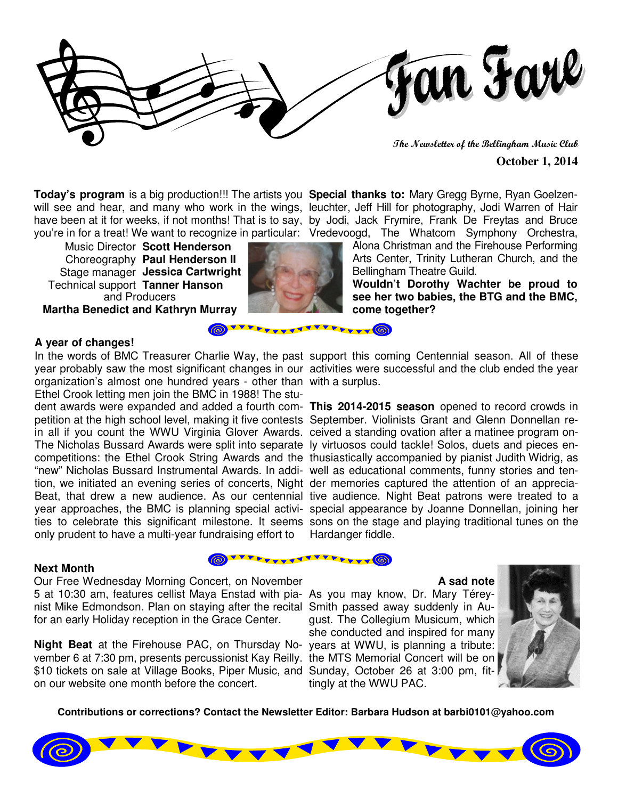

**The Newsletter of the Bellingham Music Club** 

#### **October 1, 2014**

**Today's program** is a big production!!! The artists you **Special thanks to:** Mary Gregg Byrne, Ryan Goelzenwill see and hear, and many who work in the wings, leuchter, Jeff Hill for photography, Jodi Warren of Hair have been at it for weeks, if not months! That is to say, by Jodi, Jack Frymire, Frank De Freytas and Bruce you're in for a treat! We want to recognize in particular: Vredevoogd, The Whatcom Symphony Orchestra,

and Producers **Martha Benedict and Kathryn Murray**  Music Director **Scott Henderson**  Choreography **Paul Henderson II** Stage manager **Jessica Cartwright** Technical support **Tanner Hanson**



**777444** 

**TYYY** (6)

**TYYYY** (6)

Alona Christman and the Firehouse Performing Arts Center, Trinity Lutheran Church, and the Bellingham Theatre Guild.

**Wouldn't Dorothy Wachter be proud to see her two babies, the BTG and the BMC, come together?** 

#### **A year of changes!**

In the words of BMC Treasurer Charlie Way, the past support this coming Centennial season. All of these organization's almost one hundred years - other than with a surplus. Ethel Crook letting men join the BMC in 1988! The stupetition at the high school level, making it five contests September. Violinists Grant and Glenn Donnellan rein all if you count the WWU Virginia Glover Awards. ceived a standing ovation after a matinee program on-The Nicholas Bussard Awards were split into separate ly virtuosos could tackle! Solos, duets and pieces en-"new" Nicholas Bussard Instrumental Awards. In addi-well as educational comments, funny stories and tention, we initiated an evening series of concerts, Night der memories captured the attention of an apprecia-Beat, that drew a new audience. As our centennial tive audience. Night Beat patrons were treated to a year approaches, the BMC is planning special activi-special appearance by Joanne Donnellan, joining her only prudent to have a multi-year fundraising effort to

### **Next Month**

Our Free Wednesday Morning Concert, on November 5 at 10:30 am, features cellist Maya Enstad with pia-As you may know, Dr. Mary Téreynist Mike Edmondson. Plan on staying after the recital Smith passed away suddenly in Aufor an early Holiday reception in the Grace Center.

**Night Beat** at the Firehouse PAC, on Thursday No-years at WWU, is planning a tribute: vember 6 at 7:30 pm, presents percussionist Kay Reilly. the MTS Memorial Concert will be on \$10 tickets on sale at Village Books, Piper Music, and Sunday, October 26 at 3:00 pm, fiton our website one month before the concert.

year probably saw the most significant changes in our activities were successful and the club ended the year

dent awards were expanded and added a fourth com-**This 2014-2015 season** opened to record crowds in competitions: the Ethel Crook String Awards and the thusiastically accompanied by pianist Judith Widrig, as ties to celebrate this significant milestone. It seems sons on the stage and playing traditional tunes on the Hardanger fiddle.

#### **A sad note**

gust. The Collegium Musicum, which she conducted and inspired for many tingly at the WWU PAC.



**Contributions or corrections? Contact the Newsletter Editor: Barbara Hudson at barbi0101@yahoo.com**

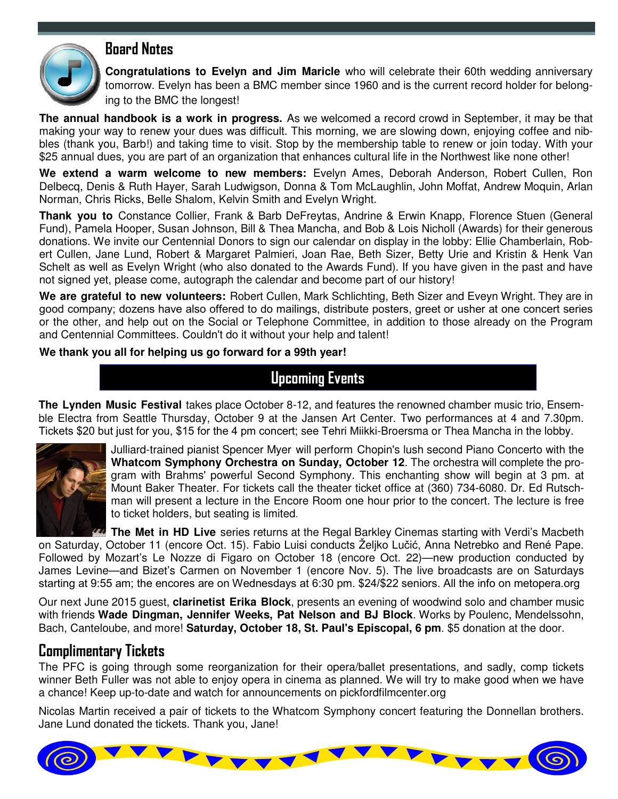

**Congratulations to Evelyn and Jim Maricle** who will celebrate their 60th wedding anniversary tomorrow. Evelyn has been a BMC member since 1960 and is the current record holder for belonging to the BMC the longest!

**The annual handbook is a work in progress.** As we welcomed a record crowd in September, it may be that making your way to renew your dues was difficult. This morning, we are slowing down, enjoying coffee and nibbles (thank you, Barb!) and taking time to visit. Stop by the membership table to renew or join today. With your \$25 annual dues, you are part of an organization that enhances cultural life in the Northwest like none other!

**We extend a warm welcome to new members:** Evelyn Ames, Deborah Anderson, Robert Cullen, Ron Delbecq, Denis & Ruth Hayer, Sarah Ludwigson, Donna & Tom McLaughlin, John Moffat, Andrew Moquin, Arlan Norman, Chris Ricks, Belle Shalom, Kelvin Smith and Evelyn Wright.

**Thank you to** Constance Collier, Frank & Barb DeFreytas, Andrine & Erwin Knapp, Florence Stuen (General Fund), Pamela Hooper, Susan Johnson, Bill & Thea Mancha, and Bob & Lois Nicholl (Awards) for their generous donations. We invite our Centennial Donors to sign our calendar on display in the lobby: Ellie Chamberlain, Robert Cullen, Jane Lund, Robert & Margaret Palmieri, Joan Rae, Beth Sizer, Betty Urie and Kristin & Henk Van Schelt as well as Evelyn Wright (who also donated to the Awards Fund). If you have given in the past and have not signed yet, please come, autograph the calendar and become part of our history!

**We are grateful to new volunteers:** Robert Cullen, Mark Schlichting, Beth Sizer and Eveyn Wright. They are in good company; dozens have also offered to do mailings, distribute posters, greet or usher at one concert series or the other, and help out on the Social or Telephone Committee, in addition to those already on the Program and Centennial Committees. Couldn't do it without your help and talent!

**We thank you all for helping us go forward for a 99th year!** 

### **Upcoming Events**

**The Lynden Music Festival** takes place October 8-12, and features the renowned chamber music trio, Ensemble Electra from Seattle Thursday, October 9 at the Jansen Art Center. Two performances at 4 and 7.30pm. Tickets \$20 but just for you, \$15 for the 4 pm concert; see Tehri Miikki-Broersma or Thea Mancha in the lobby.



Julliard-trained pianist Spencer Myer will perform Chopin's lush second Piano Concerto with the **Whatcom Symphony Orchestra on Sunday, October 12**. The orchestra will complete the program with Brahms' powerful Second Symphony. This enchanting show will begin at 3 pm. at Mount Baker Theater. For tickets call the theater ticket office at (360) 734-6080. Dr. Ed Rutschman will present a lecture in the Encore Room one hour prior to the concert. The lecture is free to ticket holders, but seating is limited.

**The Met in HD Live** series returns at the Regal Barkley Cinemas starting with Verdi's Macbeth on Saturday, October 11 (encore Oct. 15). Fabio Luisi conducts Željko Lučić, Anna Netrebko and René Pape. Followed by Mozart's Le Nozze di Figaro on October 18 (encore Oct. 22)—new production conducted by James Levine—and Bizet's Carmen on November 1 (encore Nov. 5). The live broadcasts are on Saturdays starting at 9:55 am; the encores are on Wednesdays at 6:30 pm. \$24/\$22 seniors. All the info on metopera.org

Our next June 2015 guest, **clarinetist Erika Block**, presents an evening of woodwind solo and chamber music with friends **Wade Dingman, Jennifer Weeks, Pat Nelson and BJ Block**. Works by Poulenc, Mendelssohn, Bach, Canteloube, and more! **Saturday, October 18, St. Paul's Episcopal, 6 pm**. \$5 donation at the door.

### **Complimentary Tickets**

The PFC is going through some reorganization for their opera/ballet presentations, and sadly, comp tickets winner Beth Fuller was not able to enjoy opera in cinema as planned. We will try to make good when we have a chance! Keep up-to-date and watch for announcements on pickfordfilmcenter.org

Nicolas Martin received a pair of tickets to the Whatcom Symphony concert featuring the Donnellan brothers. Jane Lund donated the tickets. Thank you, Jane!

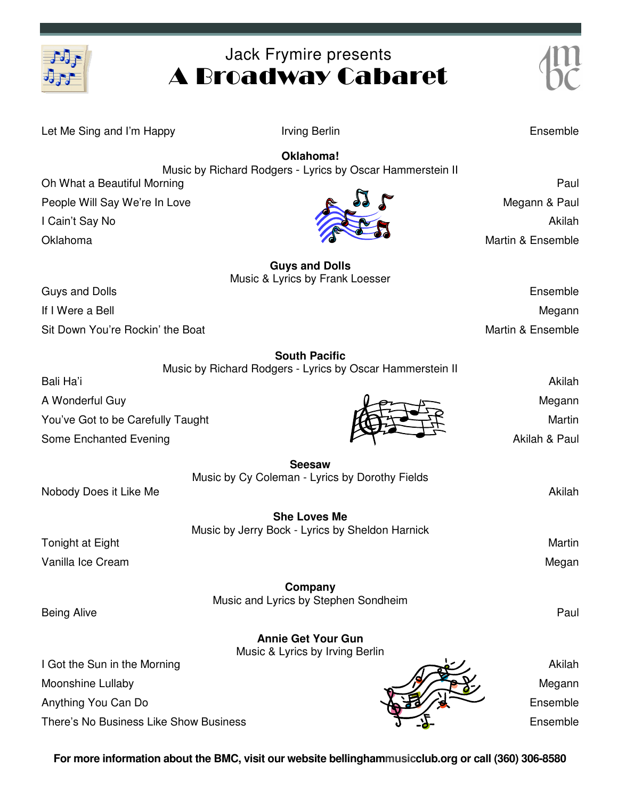

# Jack Frymire presents A Broadway Cabaret

| Let Me Sing and I'm Happy              | Irving Berlin                                                   | Ensemble                |
|----------------------------------------|-----------------------------------------------------------------|-------------------------|
|                                        | Oklahoma!                                                       |                         |
|                                        | Music by Richard Rodgers - Lyrics by Oscar Hammerstein II       | Paul                    |
| Oh What a Beautiful Morning            |                                                                 |                         |
| People Will Say We're In Love          |                                                                 | Megann & Paul<br>Akilah |
| I Cain't Say No<br>Oklahoma            |                                                                 | Martin & Ensemble       |
|                                        |                                                                 |                         |
|                                        | <b>Guys and Dolls</b>                                           |                         |
| <b>Guys and Dolls</b>                  | Music & Lyrics by Frank Loesser                                 | Ensemble                |
| If I Were a Bell                       |                                                                 | Megann                  |
| Sit Down You're Rockin' the Boat       |                                                                 | Martin & Ensemble       |
|                                        | <b>South Pacific</b>                                            |                         |
|                                        | Music by Richard Rodgers - Lyrics by Oscar Hammerstein II       |                         |
| Bali Ha'i                              |                                                                 | Akilah                  |
| A Wonderful Guy                        |                                                                 | Megann                  |
| You've Got to be Carefully Taught      |                                                                 | Martin                  |
| Some Enchanted Evening                 |                                                                 | Akilah & Paul           |
|                                        | <b>Seesaw</b><br>Music by Cy Coleman - Lyrics by Dorothy Fields |                         |
| Nobody Does it Like Me                 |                                                                 | Akilah                  |
|                                        | <b>She Loves Me</b>                                             |                         |
|                                        | Music by Jerry Bock - Lyrics by Sheldon Harnick                 |                         |
| Tonight at Eight                       |                                                                 | Martin                  |
| Vanilla Ice Cream                      |                                                                 | Megan                   |
|                                        | Company                                                         |                         |
| <b>Being Alive</b>                     | Music and Lyrics by Stephen Sondheim                            | Paul                    |
|                                        | <b>Annie Get Your Gun</b>                                       |                         |
|                                        | Music & Lyrics by Irving Berlin                                 |                         |
| I Got the Sun in the Morning           |                                                                 | Akilah                  |
| Moonshine Lullaby                      |                                                                 | Megann                  |
| Anything You Can Do                    |                                                                 | Ensemble                |
| There's No Business Like Show Business |                                                                 | Ensemble                |

**For more information about the BMC, visit our website bellinghammusicclub.org or call (360) 306-8580**